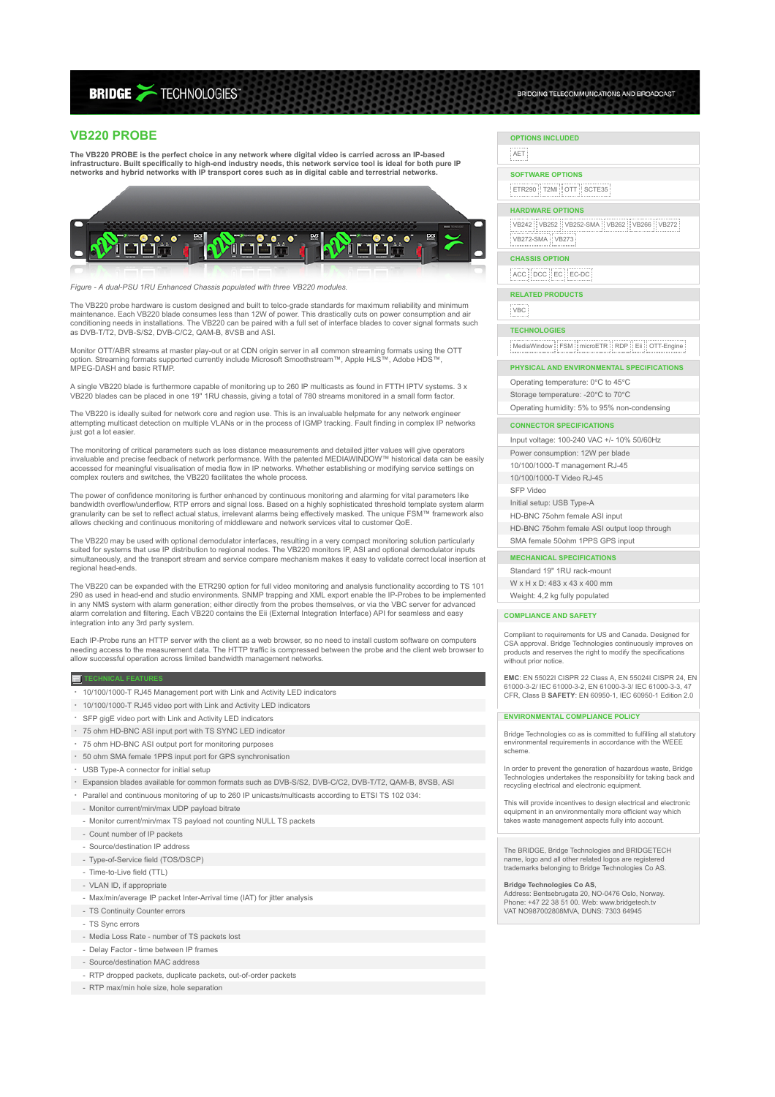# **BRIDGE > TECHNOLOGIES**

# **VB220 PROBE**

**The VB220 PROBE is the perfect choice in any network where digital video is carried across an IP-based** infrastructure. Built specifically to high-end industry needs, this network service tool is ideal for both pure IP<br>networks and hybrid networks with IP transport cores such as in digital cable and terrestrial networks.



*Figure - A dual-PSU 1RU Enhanced Chassis populated with three VB220 modules.*

The VB220 probe hardware is custom designed and built to telco-grade standards for maximum reliability and minimum maintenance. Each VB220 blade consumes less than 12W of power. This drastically cuts on power consumption and air conditioning needs in installations. The VB220 can be paired with a full set of interface blades to cover signal formats such as DVB-T/T2, DVB-S/S2, DVB-C/C2, QAM-B, 8VSB and ASI.

Monitor OTT/ABR streams at master play-out or at CDN origin server in all common streaming formats using the OTT option. Streaming formats supported currently include Microsoft Smoothstream™, Apple HLS™, Adobe HDS™,<br>MPEG-DASH and basic RTMP.

A single VB220 blade is furthermore capable of monitoring up to 260 IP multicasts as found in FTTH IPTV systems. 3 x<br>VB220 blades can be placed in one 19" 1RU chassis, giving a total of 780 streams monitored in a small for

The VB220 is ideally suited for network core and region use. This is an invaluable helpmate for any network engineer<br>attempting multicast detection on multiple VLANs or in the process of IGMP tracking. Fault finding in com just got a lot easier

The monitoring of critical parameters such as loss distance measurements and detailed jitter values will give operators invaluable and precise feedback of network performance. With the patented MEDIAWINDOW™ historical data can be easily<br>accessed for meaningful visualisation of media flow in IP networks. Whether establishing or modifying se complex routers and switches, the VB220 facilitates the whole process.

The power of confidence monitoring is further enhanced by continuous monitoring and alarming for vital parameters like<br>bandwidth overflow/underflow, RTP errors and signal loss. Based on a highly sophisticated threshold te

The VB220 may be used with optional demodulator interfaces, resulting in a very compact monitoring solution particularly suited for systems that use IP distribution to regional nodes. The VB220 monitors IP, ASI and optional demodulator inputs<br>simultaneously, and the transport stream and service compare mechanism makes it easy to validate cor regional head-ends.

The VB220 can be expanded with the ETR290 option for full video monitoring and analysis functionality according to TS 101 290 as used in head-end and studio environments. SNMP trapping and XML export enable the IP-Probes to be implemented<br>in any NMS system with alarm generation; either directly from the probes themselves, or via the VBC serve correlation and filtering. Each VB220 contains the Eii (External Integration Interface) API for seamless and easy integration into any 3rd party system.

Each IP-Probe runs an HTTP server with the client as a web browser, so no need to install custom software on computers needing access to the measurement data. The HTTP traffic is compressed between the probe and the client web browser to allow successful operation across limited bandwidth management networks.

### **TECHNICAL FEATURES**

- 10/100/1000-T RJ45 Management port with Link and Activity LED indicators
- 10/100/1000-T RJ45 video port with Link and Activity LED indicators
- SFP gigE video port with Link and Activity LED indicators
- 75 ohm HD-BNC ASI input port with TS SYNC LED indicator
- 75 ohm HD-BNC ASI output port for monitoring purposes
- 50 ohm SMA female 1PPS input port for GPS synchronisation
- USB Type-A connector for initial setup
- Expansion blades available for common formats such as DVB-S/S2, DVB-C/C2, DVB-T/T2, QAM-B, 8VSB, ASI
- Parallel and continuous monitoring of up to 260 IP unicasts/multicasts according to ETSI TS 102 034:
- 
- Monitor current/min/max UDP payload bitrate
- Monitor current/min/max TS payload not counting NULL TS packets
- Count number of IP packets
	- Source/destination IP address
- Type-of-Service field (TOS/DSCP)
- Time-to-Live field (TTL)
- VLAN ID, if appropriate
- Max/min/average IP packet Inter-Arrival time (IAT) for jitter analysis
- TS Continuity Counter errors
- TS Sync errors
- Media Loss Rate number of TS packets lost
- Delay Factor time between IP frames
- Source/destination MAC address
- RTP dropped packets, duplicate packets, out-of-order packets
- RTP max/min hole size, hole separation

# **OPTIONS INCLUDED**

 $H = 1$ 

**SOFTWARE OPTIONS** ETR290 T2MI OTT SCTE35

#### **HARDWARE OPTIONS**

|<br>|VB242 || VB252 || VB252-SMA || VB262 || VB266 || VB272 VB272-SMA VB273

BRIDGING TELECOMMUNCATIONS AND BROADCAST

## **CHASSIS OPTION**

ACC DCC EC EC-DC

**RELATED PRODUCTS**

VBC

#### **TECHNOLOGIES**

MediaWindow FSM microETR RDP Eii OTT-Engine

#### **PHYSICAL AND ENVIRONMENTAL SPECIFICATIONS**

Operating temperature: 0℃ to 45℃ Storage temperature: -20℃ to 70℃ Operating humidity: 5% to 95% non-condensing

#### **CONNECTOR SPECIFICATIONS**

Input voltage: 100-240 VAC +/- 10% 50/60Hz Power consumption: 12W per blade 10/100/1000-T management RJ-45 10/100/1000-T Video RJ-45 SFP Video Initial setup: USB Type-A HD-BNC 75ohm female ASI input HD-BNC 75ohm female ASI output loop through

SMA female 50ohm 1PPS GPS input

#### **MECHANICAL SPECIFICATIONS**

Standard 19" 1RU rack-mount W x H x D: 483 x 43 x 400 mm Weight: 4.2 kg fully populated

#### **COMPLIANCE AND SAFETY**

Compliant to requirements for US and Canada. Designed for CSA approval. Bridge Technologies continuously improves on products and reserves the right to modify the specifications without prior notice.

**EMC**: EN 55022I CISPR 22 Class A, EN 55024I CISPR 24, EN 61000-3-2/ IEC 61000-3-2, EN 61000-3-3/ IEC 61000-3-3, 47 CFR, Class B **SAFETY**: EN 60950-1, IEC 60950-1 Edition 2.0

#### **ENVIRONMENTAL COMPLIANCE POLICY**

Bridge Technologies co as is committed to fulfilling all statutory environmental requirements in accordance with the WEEE scheme.

In order to prevent the generation of hazardous waste, Bridge Technologies undertakes the responsibility for taking back and recycling electrical and electronic equipment.

This will provide incentives to design electrical and electronic equipment in an environmentally more efficient way which takes waste management aspects fully into account.

The BRIDGE, Bridge Technologies and BRIDGETECH name, logo and all other related logos are register trademarks belonging to Bridge Technologies Co AS.

**Bridge Technologies Co AS**, Address: Bentsebrugata 20, NO-0476 Oslo, Norway. Phone: +47 22 38 51 00. Web: www.bridgetech.tv VAT NO987002808MVA, DUNS: 7303 64945